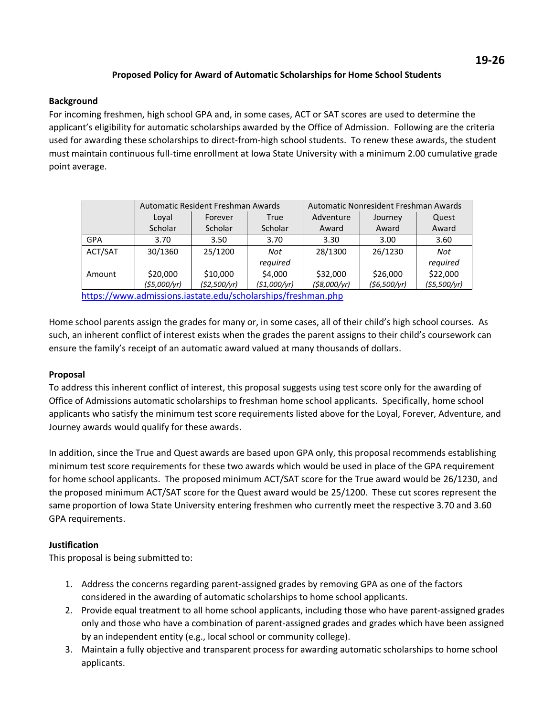## **Proposed Policy for Award of Automatic Scholarships for Home School Students**

## **Background**

For incoming freshmen, high school GPA and, in some cases, ACT or SAT scores are used to determine the applicant's eligibility for automatic scholarships awarded by the Office of Admission. Following are the criteria used for awarding these scholarships to direct-from-high school students. To renew these awards, the student must maintain continuous full-time enrollment at Iowa State University with a minimum 2.00 cumulative grade point average.

|            | Automatic Resident Freshman Awards |              |              | Automatic Nonresident Freshman Awards |             |             |
|------------|------------------------------------|--------------|--------------|---------------------------------------|-------------|-------------|
|            | Loval                              | Forever      | True         | Adventure                             | Journey     | Quest       |
|            | Scholar                            | Scholar      | Scholar      | Award                                 | Award       | Award       |
| <b>GPA</b> | 3.70                               | 3.50         | 3.70         | 3.30                                  | 3.00        | 3.60        |
| ACT/SAT    | 30/1360                            | 25/1200      | Not          | 28/1300                               | 26/1230     | Not         |
|            |                                    |              | required     |                                       |             | required    |
| Amount     | \$20,000                           | \$10,000     | \$4,000      | \$32,000                              | \$26,000    | \$22,000    |
|            | ( \$5,000/yr]                      | (\$2,500/yr) | (\$1,000/yr) | ( \$8,000/yr)                         | (56,500/yr) | (55,500/yr) |

<https://www.admissions.iastate.edu/scholarships/freshman.php>

Home school parents assign the grades for many or, in some cases, all of their child's high school courses. As such, an inherent conflict of interest exists when the grades the parent assigns to their child's coursework can ensure the family's receipt of an automatic award valued at many thousands of dollars.

## **Proposal**

To address this inherent conflict of interest, this proposal suggests using test score only for the awarding of Office of Admissions automatic scholarships to freshman home school applicants. Specifically, home school applicants who satisfy the minimum test score requirements listed above for the Loyal, Forever, Adventure, and Journey awards would qualify for these awards.

In addition, since the True and Quest awards are based upon GPA only, this proposal recommends establishing minimum test score requirements for these two awards which would be used in place of the GPA requirement for home school applicants. The proposed minimum ACT/SAT score for the True award would be 26/1230, and the proposed minimum ACT/SAT score for the Quest award would be 25/1200. These cut scores represent the same proportion of Iowa State University entering freshmen who currently meet the respective 3.70 and 3.60 GPA requirements.

## **Justification**

This proposal is being submitted to:

- 1. Address the concerns regarding parent-assigned grades by removing GPA as one of the factors considered in the awarding of automatic scholarships to home school applicants.
- 2. Provide equal treatment to all home school applicants, including those who have parent-assigned grades only and those who have a combination of parent-assigned grades and grades which have been assigned by an independent entity (e.g., local school or community college).
- 3. Maintain a fully objective and transparent process for awarding automatic scholarships to home school applicants.